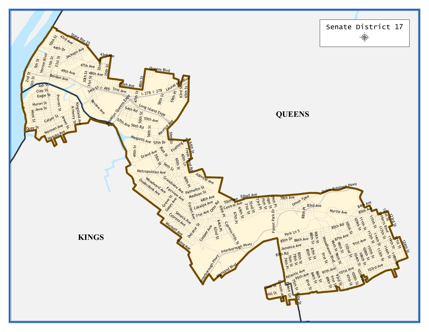